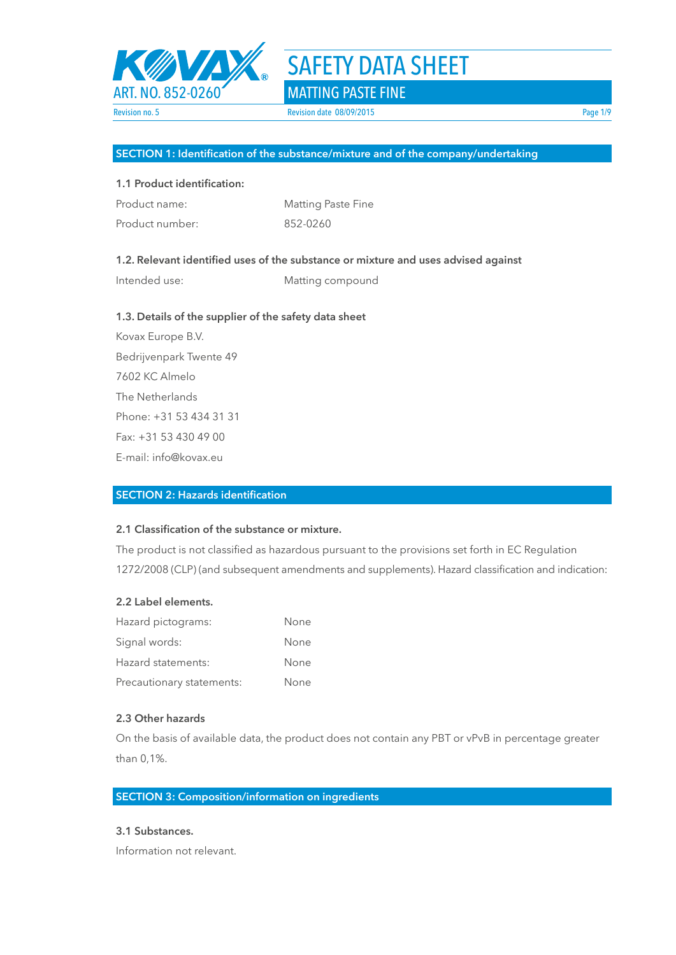

# SAFETY DATA SHEET

### **SECTION 1: Identification of the substance/mixture and of the company/undertaking**

### **1.1 Product identification:**

| Product name:   | <b>Matting Paste Fine</b> |
|-----------------|---------------------------|
| Product number: | 852-0260                  |

**1.3. Details of the supplier of the safety data sheet** 

### **1.2. Relevant identified uses of the substance or mixture and uses advised against**

Intended use: Matting compound

Kovax Europe B.V. Bedrijvenpark Twente 49 7602 KC Almelo The Netherlands Phone: +31 53 434 31 31 Fax: +31 53 430 49 00 E-mail: info@kovax.eu

### **SECTION 2: Hazards identification**

### **2.1 Classification of the substance or mixture.**

The product is not classified as hazardous pursuant to the provisions set forth in EC Regulation 1272/2008 (CLP) (and subsequent amendments and supplements). Hazard classification and indication:

### **2.2 Label elements.**

| Hazard pictograms:        | None |
|---------------------------|------|
| Signal words:             | None |
| Hazard statements:        | None |
| Precautionary statements: | None |

### **2.3 Other hazards**

On the basis of available data, the product does not contain any PBT or vPvB in percentage greater than 0,1%.

### **SECTION 3: Composition/information on ingredients**

### **3.1 Substances.**

Information not relevant.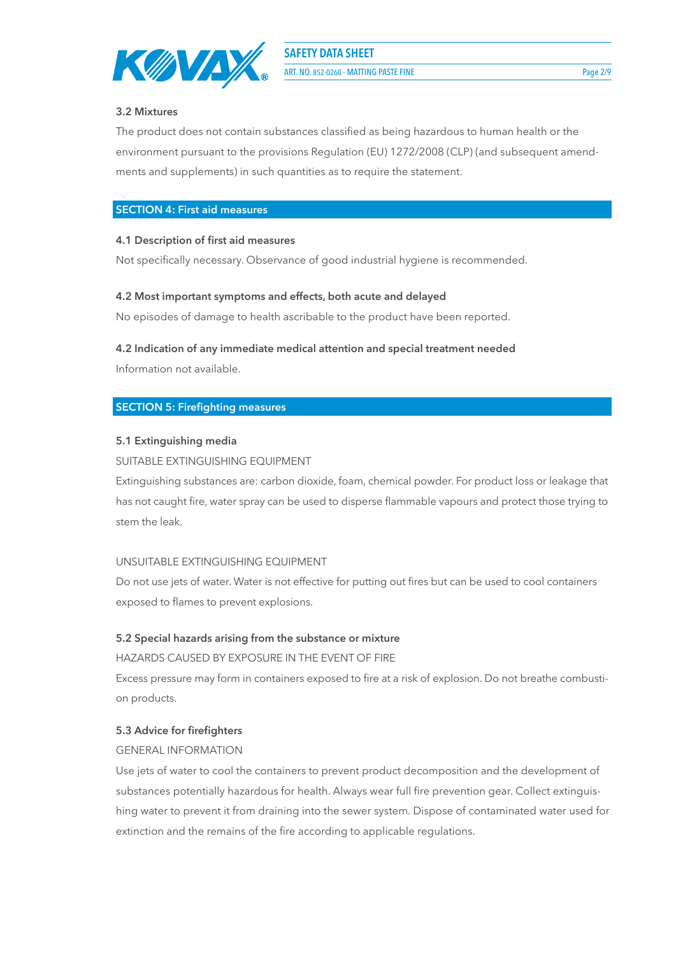

**3.2 Mixtures**

## The product does not contain substances classified as being hazardous to human health or the environment pursuant to the provisions Regulation (EU) 1272/2008 (CLP) (and subsequent amendments and supplements) in such quantities as to require the statement.

### **SECTION 4: First aid measures**

### **4.1 Description of first aid measures**

Not specifically necessary. Observance of good industrial hygiene is recommended.

### **4.2 Most important symptoms and effects, both acute and delayed**

No episodes of damage to health ascribable to the product have been reported.

### **4.2 Indication of any immediate medical attention and special treatment needed**

Information not available.

### **SECTION 5: Firefighting measures**

### **5.1 Extinguishing media**

### SUITABLE EXTINGUISHING EQUIPMENT

Extinguishing substances are: carbon dioxide, foam, chemical powder. For product loss or leakage that has not caught fire, water spray can be used to disperse flammable vapours and protect those trying to stem the leak.

### UNSUITABLE EXTINGUISHING EQUIPMENT

Do not use jets of water. Water is not effective for putting out fires but can be used to cool containers exposed to flames to prevent explosions.

### **5.2 Special hazards arising from the substance or mixture**

HAZARDS CAUSED BY EXPOSURE IN THE EVENT OF FIRE

Excess pressure may form in containers exposed to fire at a risk of explosion. Do not breathe combustion products.

### **5.3 Advice for firefighters**

### GENERAL INFORMATION

Use jets of water to cool the containers to prevent product decomposition and the development of substances potentially hazardous for health. Always wear full fire prevention gear. Collect extinguishing water to prevent it from draining into the sewer system. Dispose of contaminated water used for extinction and the remains of the fire according to applicable regulations.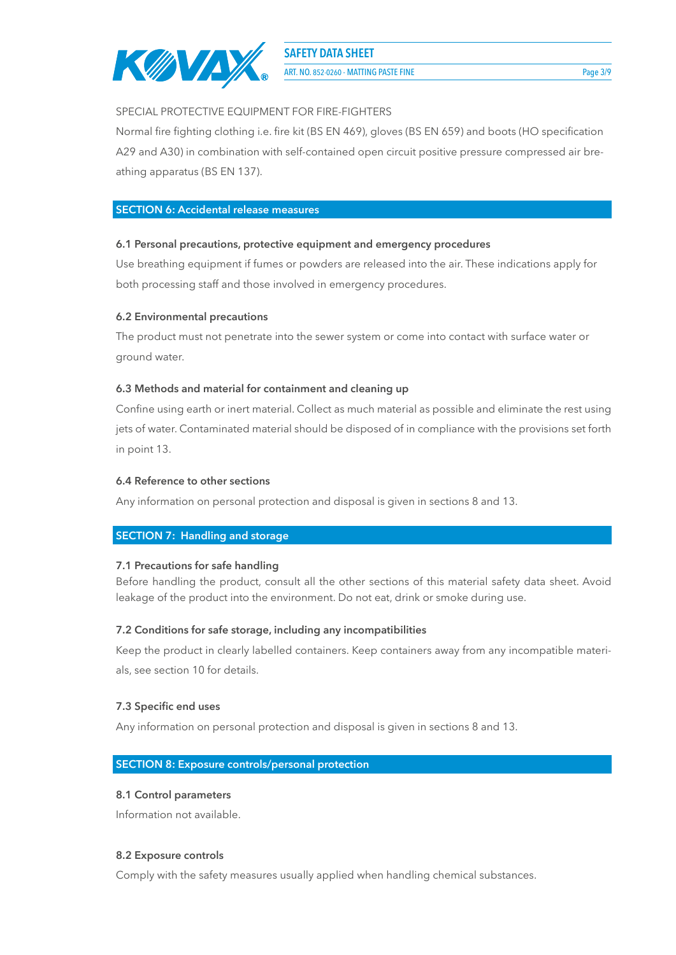

ART. NO. 852-0260 - MATTING PASTE FINE Page 3/9

### SPECIAL PROTECTIVE EQUIPMENT FOR FIRE-FIGHTERS

Normal fire fighting clothing i.e. fire kit (BS EN 469), gloves (BS EN 659) and boots (HO specification A29 and A30) in combination with self-contained open circuit positive pressure compressed air breathing apparatus (BS EN 137).

### **SECTION 6: Accidental release measures**

### **6.1 Personal precautions, protective equipment and emergency procedures**

Use breathing equipment if fumes or powders are released into the air. These indications apply for both processing staff and those involved in emergency procedures.

### **6.2 Environmental precautions**

The product must not penetrate into the sewer system or come into contact with surface water or ground water.

### **6.3 Methods and material for containment and cleaning up**

Confine using earth or inert material. Collect as much material as possible and eliminate the rest using jets of water. Contaminated material should be disposed of in compliance with the provisions set forth in point 13.

### **6.4 Reference to other sections**

Any information on personal protection and disposal is given in sections 8 and 13.

### **SECTION 7: Handling and storage**

### **7.1 Precautions for safe handling**

Before handling the product, consult all the other sections of this material safety data sheet. Avoid leakage of the product into the environment. Do not eat, drink or smoke during use.

### **7.2 Conditions for safe storage, including any incompatibilities**

Keep the product in clearly labelled containers. Keep containers away from any incompatible materials, see section 10 for details.

### **7.3 Specific end uses**

Any information on personal protection and disposal is given in sections 8 and 13.

### **SECTION 8: Exposure controls/personal protection**

### **8.1 Control parameters**

Information not available.

### **8.2 Exposure controls**

Comply with the safety measures usually applied when handling chemical substances.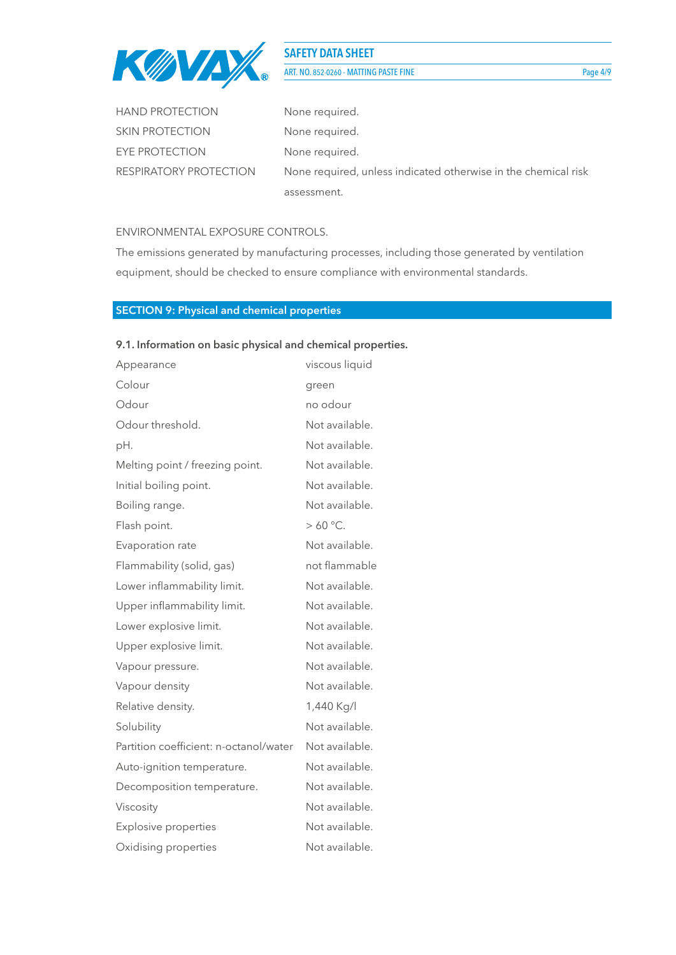

### **SAFETY DATA SHEET** ART. NO. 852-0260 - MATTING PASTE FINE Page 4/9

| <b>HAND PROTECTION</b> | None required.                                                 |
|------------------------|----------------------------------------------------------------|
| <b>SKIN PROTECTION</b> | None required.                                                 |
| EYE PROTECTION         | None required.                                                 |
| RESPIRATORY PROTECTION | None required, unless indicated otherwise in the chemical risk |
|                        | assessment.                                                    |

### ENVIRONMENTAL EXPOSURE CONTROLS.

The emissions generated by manufacturing processes, including those generated by ventilation equipment, should be checked to ensure compliance with environmental standards.

### **SECTION 9: Physical and chemical properties**

### **9.1. Information on basic physical and chemical properties.**

| Appearance                             | viscous liquid   |
|----------------------------------------|------------------|
| Colour                                 | green            |
| Odour                                  | no odour         |
| Odour threshold.                       | Not available.   |
| pH.                                    | Not available.   |
| Melting point / freezing point.        | Not available.   |
| Initial boiling point.                 | Not available.   |
| Boiling range.                         | Not available.   |
| Flash point.                           | $>60^{\circ}$ C. |
| Evaporation rate                       | Not available.   |
| Flammability (solid, gas)              | not flammable    |
| Lower inflammability limit.            | Not available.   |
| Upper inflammability limit.            | Not available.   |
| Lower explosive limit.                 | Not available.   |
| Upper explosive limit.                 | Not available.   |
| Vapour pressure.                       | Not available.   |
| Vapour density                         | Not available.   |
| Relative density.                      | 1,440 Kg/l       |
| Solubility                             | Not available.   |
| Partition coefficient: n-octanol/water | Not available.   |
| Auto-ignition temperature.             | Not available.   |
| Decomposition temperature.             | Not available.   |
| Viscosity                              | Not available.   |
| <b>Explosive properties</b>            | Not available.   |
| Oxidising properties                   | Not available.   |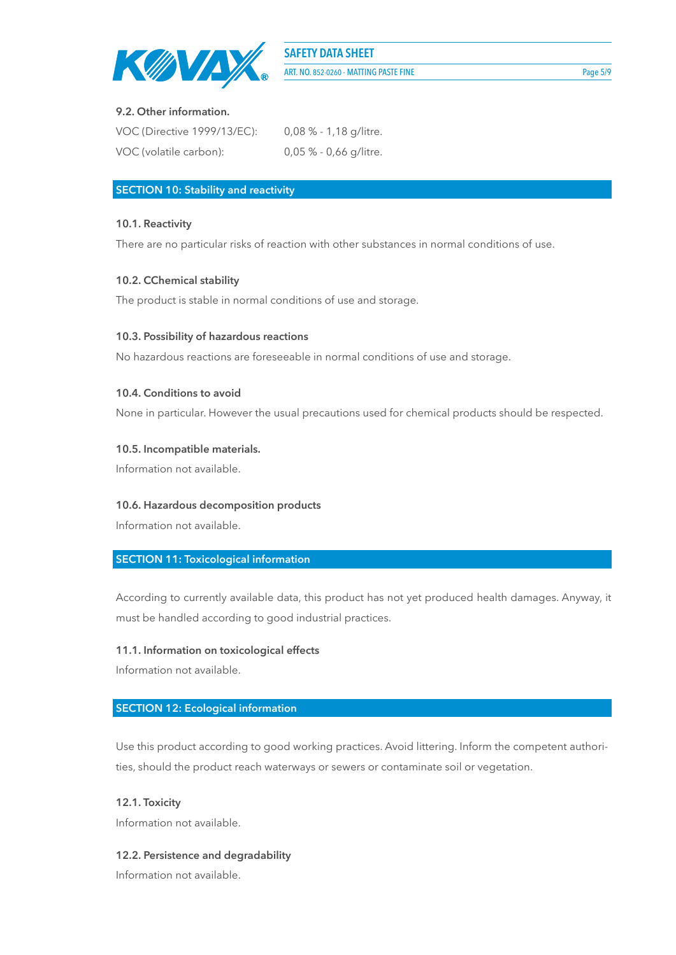

### **9.2. Other information.**

| VOC (Directive 1999/13/EC): | $0.08\%$ - 1,18 g/litre. |
|-----------------------------|--------------------------|
| VOC (volatile carbon):      | $0,05$ % - 0,66 g/litre. |

### **SECTION 10: Stability and reactivity**

### **10.1. Reactivity**

There are no particular risks of reaction with other substances in normal conditions of use.

### **10.2. CChemical stability**

The product is stable in normal conditions of use and storage.

### **10.3. Possibility of hazardous reactions**

No hazardous reactions are foreseeable in normal conditions of use and storage.

### **10.4. Conditions to avoid**

None in particular. However the usual precautions used for chemical products should be respected.

### **10.5. Incompatible materials.**

Information not available.

### **10.6. Hazardous decomposition products**

Information not available.

### **SECTION 11: Toxicological information**

According to currently available data, this product has not yet produced health damages. Anyway, it must be handled according to good industrial practices.

### **11.1. Information on toxicological effects**

Information not available.

### **SECTION 12: Ecological information**

Use this product according to good working practices. Avoid littering. Inform the competent authorities, should the product reach waterways or sewers or contaminate soil or vegetation.

### **12.1. Toxicity**

Information not available.

### **12.2. Persistence and degradability**

Information not available.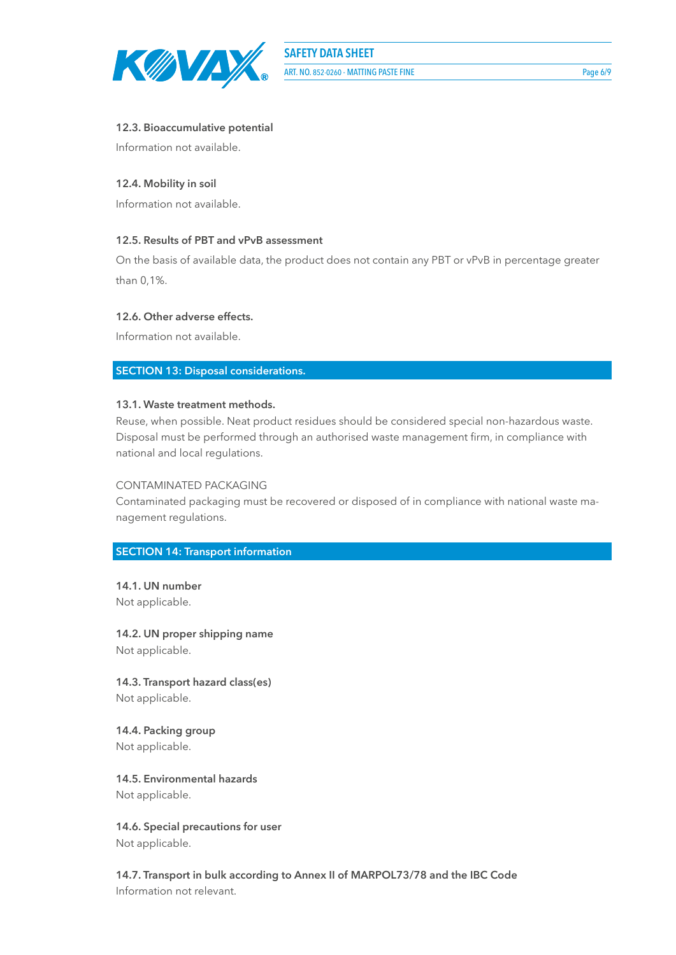

## **SAFETY DATA SHEET**

ART. NO. 852-0260 - MATTING PASTE FINE Page 6/9

### **12.3. Bioaccumulative potential**

Information not available.

### **12.4. Mobility in soil**

Information not available.

### **12.5. Results of PBT and vPvB assessment**

On the basis of available data, the product does not contain any PBT or vPvB in percentage greater than 0,1%.

### **12.6. Other adverse effects.**

Information not available.

**SECTION 13: Disposal considerations.**

### **13.1. Waste treatment methods.**

Reuse, when possible. Neat product residues should be considered special non-hazardous waste. Disposal must be performed through an authorised waste management firm, in compliance with national and local regulations.

### CONTAMINATED PACKAGING

Contaminated packaging must be recovered or disposed of in compliance with national waste management regulations.

### **SECTION 14: Transport information**

**14.1. UN number** Not applicable.

**14.2. UN proper shipping name** Not applicable.

**14.3. Transport hazard class(es)** Not applicable.

**14.4. Packing group** Not applicable.

**14.5. Environmental hazards** Not applicable.

**14.6. Special precautions for user** Not applicable.

**14.7. Transport in bulk according to Annex II of MARPOL73/78 and the IBC Code** Information not relevant.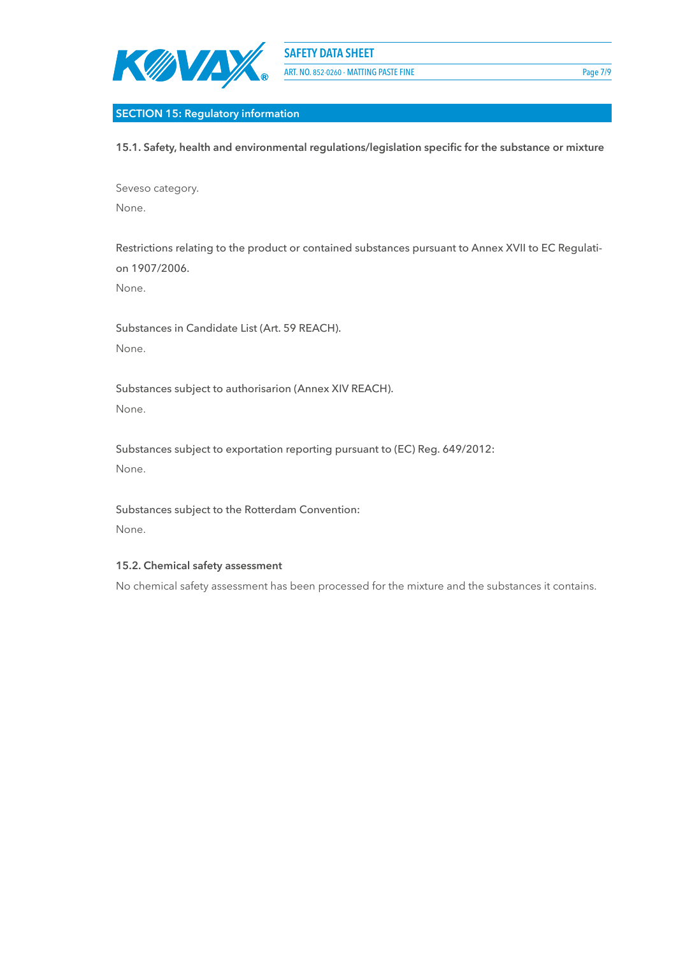

### **SECTION 15: Regulatory information**

**15.1. Safety, health and environmental regulations/legislation specific for the substance or mixture**

Seveso category. None.

Restrictions relating to the product or contained substances pursuant to Annex XVII to EC Regulation 1907/2006.

None.

Substances in Candidate List (Art. 59 REACH). None.

Substances subject to authorisarion (Annex XIV REACH). None.

Substances subject to exportation reporting pursuant to (EC) Reg. 649/2012: None.

Substances subject to the Rotterdam Convention: None.

### **15.2. Chemical safety assessment**

No chemical safety assessment has been processed for the mixture and the substances it contains.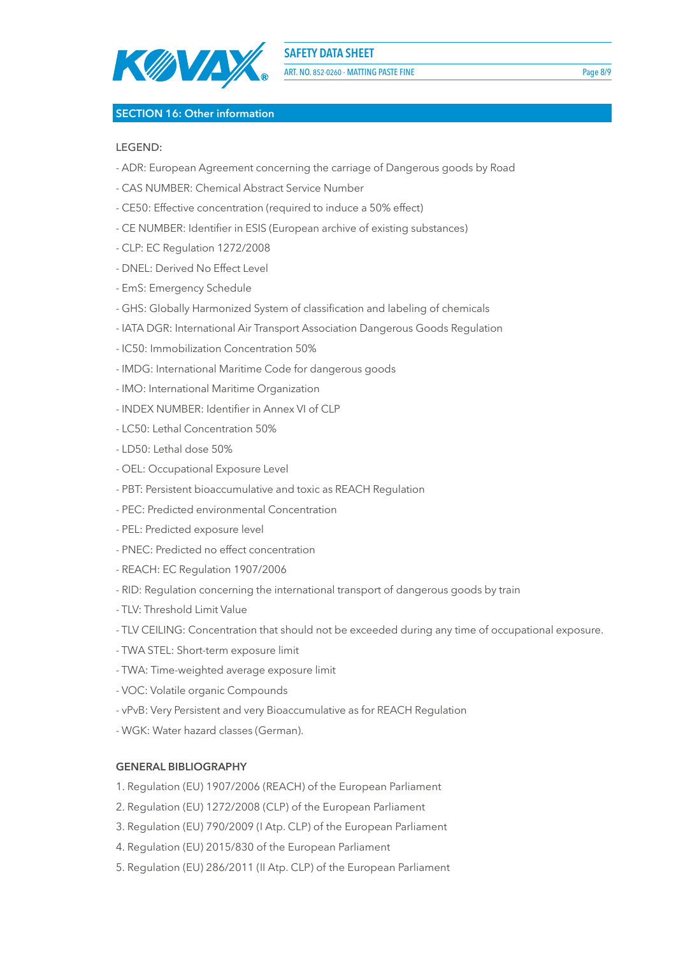

ART. NO. 852-0260 - MATTING PASTE FINE PAGE AND THE PAGE 8/9

### **SECTION 16: Other information**

### LEGEND:

- ADR: European Agreement concerning the carriage of Dangerous goods by Road
- CAS NUMBER: Chemical Abstract Service Number
- CE50: Effective concentration (required to induce a 50% effect)
- CE NUMBER: Identifier in ESIS (European archive of existing substances)
- CLP: EC Regulation 1272/2008
- DNEL: Derived No Effect Level
- EmS: Emergency Schedule
- GHS: Globally Harmonized System of classification and labeling of chemicals
- IATA DGR: International Air Transport Association Dangerous Goods Regulation
- IC50: Immobilization Concentration 50%
- IMDG: International Maritime Code for dangerous goods
- IMO: International Maritime Organization
- INDEX NUMBER: Identifier in Annex VI of CLP
- LC50: Lethal Concentration 50%
- LD50: Lethal dose 50%
- OEL: Occupational Exposure Level
- PBT: Persistent bioaccumulative and toxic as REACH Regulation
- PEC: Predicted environmental Concentration
- PEL: Predicted exposure level
- PNEC: Predicted no effect concentration
- REACH: EC Regulation 1907/2006
- RID: Regulation concerning the international transport of dangerous goods by train
- TLV: Threshold Limit Value
- TLV CEILING: Concentration that should not be exceeded during any time of occupational exposure.
- TWA STEL: Short-term exposure limit
- TWA: Time-weighted average exposure limit
- VOC: Volatile organic Compounds
- vPvB: Very Persistent and very Bioaccumulative as for REACH Regulation
- WGK: Water hazard classes (German).

### **GENERAL BIBLIOGRAPHY**

- 1. Regulation (EU) 1907/2006 (REACH) of the European Parliament
- 2. Regulation (EU) 1272/2008 (CLP) of the European Parliament
- 3. Regulation (EU) 790/2009 (I Atp. CLP) of the European Parliament
- 4. Regulation (EU) 2015/830 of the European Parliament
- 5. Regulation (EU) 286/2011 (II Atp. CLP) of the European Parliament